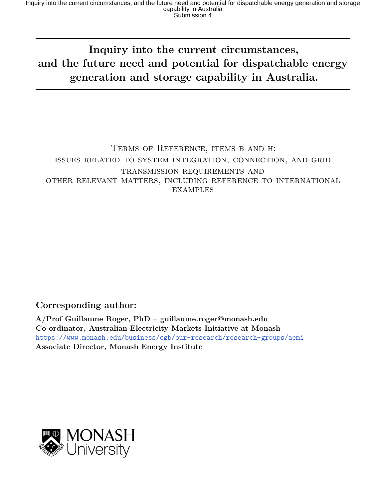# **Inquiry into the current circumstances, and the future need and potential for dispatchable energy generation and storage capability in Australia.**

#### Terms of Reference, items b and h: issues related to system integration, connection, and grid transmission requirements and other relevant matters, including reference to international **EXAMPLES**

#### **Corresponding author:**

**A/Prof Guillaume Roger, PhD – guillaume.roger@monash.edu Co-ordinator, Australian Electricity Markets Initiative at Monash** <https://www.monash.edu/business/cgb/our-research/research-groups/aemi> **Associate Director, Monash Energy Institute**

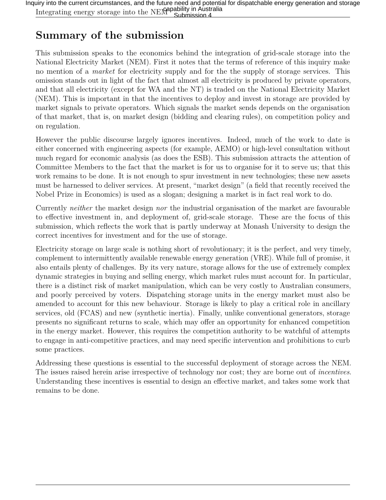## **Summary of the submission**

This submission speaks to the economics behind the integration of grid-scale storage into the National Electricity Market (NEM). First it notes that the terms of reference of this inquiry make no mention of a *market* for electricity supply and for the the supply of storage services. This omission stands out in light of the fact that almost all electricity is produced by private operators, and that all electricity (except for WA and the NT) is traded on the National Electricity Market (NEM). This is important in that the incentives to deploy and invest in storage are provided by market signals to private operators. Which signals the market sends depends on the organisation of that market, that is, on market design (bidding and clearing rules), on competition policy and on regulation.

However the public discourse largely ignores incentives. Indeed, much of the work to date is either concerned with engineering aspects (for example, AEMO) or high-level consultation without much regard for economic analysis (as does the ESB). This submission attracts the attention of Committee Members to the fact that the market is for us to organise for it to serve us; that this work remains to be done. It is not enough to spur investment in new technologies; these new assets must be harnessed to deliver services. At present, "market design" (a field that recently received the Nobel Prize in Economics) is used as a slogan; designing a market is in fact real work to do.

Currently *neither* the market design *nor* the industrial organisation of the market are favourable to effective investment in, and deployment of, grid-scale storage. These are the focus of this submission, which reflects the work that is partly underway at Monash University to design the correct incentives for investment and for the use of storage.

Electricity storage on large scale is nothing short of revolutionary; it is the perfect, and very timely, complement to intermittently available renewable energy generation (VRE). While full of promise, it also entails plenty of challenges. By its very nature, storage allows for the use of extremely complex dynamic strategies in buying and selling energy, which market rules must account for. In particular, there is a distinct risk of market manipulation, which can be very costly to Australian consumers, and poorly perceived by voters. Dispatching storage units in the energy market must also be amended to account for this new behaviour. Storage is likely to play a critical role in ancillary services, old (FCAS) and new (synthetic inertia). Finally, unlike conventional generators, storage presents no significant returns to scale, which may offer an opportunity for enhanced competition in the energy market. However, this requires the competition authority to be watchful of attempts to engage in anti-competitive practices, and may need specific intervention and prohibitions to curb some practices.

Addressing these questions is essential to the successful deployment of storage across the NEM. The issues raised herein arise irrespective of technology nor cost; they are borne out of *incentives*. Understanding these incentives is essential to design an effective market, and takes some work that remains to be done.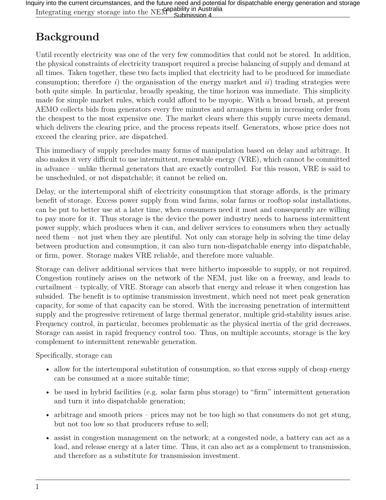Inquiry into the current circumstances, and the future need and potential for dispatchable energy generation and storage<br>Integrating energy storage into the NEM Submission 4<br>Australia Submission 4

# **Background**

Until recently electricity was one of the very few commodities that could not be stored. In addition, the physical constraints of electricity transport required a precise balancing of supply and demand at all times. Taken together, these two facts implied that electricity had to be produced for immediate consumption; therefore *i*) the organisation of the energy market and *ii*) trading strategies were both quite simple. In particular, broadly speaking, the time horizon was immediate. This simplicity made for simple market rules, which could afford to be myopic. With a broad brush, at present AEMO collects bids from generators every five minutes and arranges them in increasing order from the cheapest to the most expensive one. The market clears where this supply curve meets demand, which delivers the clearing price, and the process repeats itself. Generators, whose price does not exceed the clearing price, are dispatched.

This immediacy of supply precludes many forms of manipulation based on delay and arbitrage. It also makes it very difficult to use intermittent, renewable energy (VRE), which cannot be committed in advance – unlike thermal generators that are exactly controlled. For this reason, VRE is said to be unscheduled, or not dispatchable; it cannot be relied on.

Delay, or the intertemporal shift of electricity consumption that storage affords, is the primary benefit of storage. Excess power supply from wind farms, solar farms or rooftop solar installations, can be put to better use at a later time, when consumers need it most and consequently are willing to pay more for it. Thus storage is the device the power industry needs to harness intermittent power supply, which produces when it can, and deliver services to consumers when they actually need them – not just when they are plentiful. Not only can storage help in solving the time delay between production and consumption, it can also turn non-dispatchable energy into dispatchable, or firm, power. Storage makes VRE reliable, and therefore more valuable.

Storage can deliver additional services that were hitherto impossible to supply, or not required. Congestion routinely arises on the network of the NEM, just like on a freeway, and leads to curtailment – typically, of VRE. Storage can absorb that energy and release it when congestion has subsided. The benefit is to optimise transmission investment, which need not meet peak generation capacity, for some of that capacity can be stored. With the increasing penetration of intermittent supply and the progressive retirement of large thermal generator, multiple grid-stability issues arise. Frequency control, in particular, becomes problematic as the physical inertia of the grid decreases. Storage can assist in rapid frequency control too. Thus, on multiple accounts, storage is the key complement to intermittent renewable generation.

Specifically, storage can

- allow for the intertemporal substitution of consumption, so that excess supply of cheap energy can be consumed at a more suitable time;
- be used in hybrid facilities (e.g. solar farm plus storage) to "firm" intermittent generation and turn it into dispatchable generation;
- arbitrage and smooth prices prices may not be too high so that consumers do not get stung, but not too low so that producers refuse to sell;
- assist in congestion management on the network; at a congested node, a battery can act as a load, and release energy at a later time. Thus, it can also act as a complement to transmission, and therefore as a substitute for transmission investment.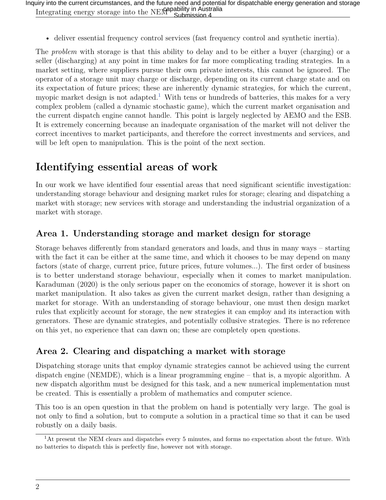• deliver essential frequency control services (fast frequency control and synthetic inertia).

The *problem* with storage is that this ability to delay and to be either a buyer (charging) or a seller (discharging) at any point in time makes for far more complicating trading strategies. In a market setting, where suppliers pursue their own private interests, this cannot be ignored. The operator of a storage unit may charge or discharge, depending on its current charge state and on its expectation of future prices; these are inherently dynamic strategies, for which the current, myopic market design is not adapted.<sup>[1](#page-3-0)</sup> With tens or hundreds of batteries, this makes for a very complex problem (called a dynamic stochastic game), which the current market organisation and the current dispatch engine cannot handle. This point is largely neglected by AEMO and the ESB. It is extremely concerning because an inadequate organisation of the market will not deliver the correct incentives to market participants, and therefore the correct investments and services, and will be left open to manipulation. This is the point of the next section.

### **Identifying essential areas of work**

In our work we have identified four essential areas that need significant scientific investigation: understanding storage behaviour and designing market rules for storage; clearing and dispatching a market with storage; new services with storage and understanding the industrial organization of a market with storage.

#### **Area 1. Understanding storage and market design for storage**

Storage behaves differently from standard generators and loads, and thus in many ways – starting with the fact it can be either at the same time, and which it chooses to be may depend on many factors (state of charge, current price, future prices, future volumes...). The first order of business is to better understand storage behaviour, especially when it comes to market manipulation. Karaduman (2020) is the only serious paper on the economics of storage, however it is short on market manipulation. It also takes as given the current market design, rather than designing a market for storage. With an understanding of storage behaviour, one must then design market rules that explicitly account for storage, the new strategies it can employ and its interaction with generators. These are dynamic strategies, and potentially collusive strategies. There is no reference on this yet, no experience that can dawn on; these are completely open questions.

#### **Area 2. Clearing and dispatching a market with storage**

Dispatching storage units that employ dynamic strategies cannot be achieved using the current dispatch engine (NEMDE), which is a linear programming engine – that is, a myopic algorithm. A new dispatch algorithm must be designed for this task, and a new numerical implementation must be created. This is essentially a problem of mathematics and computer science.

This too is an open question in that the problem on hand is potentially very large. The goal is not only to find a solution, but to compute a solution in a practical time so that it can be used robustly on a daily basis.

<span id="page-3-0"></span><sup>1</sup>At present the NEM clears and dispatches every 5 minutes, and forms no expectation about the future. With no batteries to dispatch this is perfectly fine, however not with storage.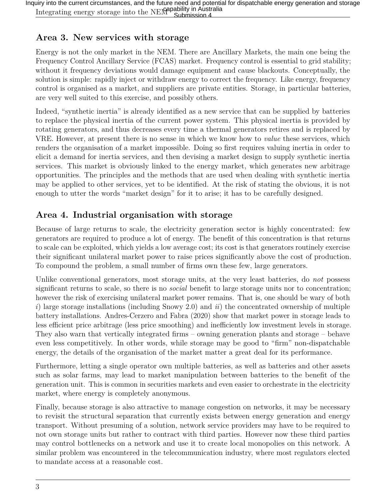#### **Area 3. New services with storage**

Energy is not the only market in the NEM. There are Ancillary Markets, the main one being the Frequency Control Ancillary Service (FCAS) market. Frequency control is essential to grid stability; without it frequency deviations would damage equipment and cause blackouts. Conceptually, the solution is simple: rapidly inject or withdraw energy to correct the frequency. Like energy, frequency control is organised as a market, and suppliers are private entities. Storage, in particular batteries, are very well suited to this exercise, and possibly others.

Indeed, "synthetic inertia" is already identified as a new service that can be supplied by batteries to replace the physical inertia of the current power system. This physical inertia is provided by rotating generators, and thus decreases every time a thermal generators retires and is replaced by VRE. However, at present there is no sense in which we know how to *value* these services, which renders the organisation of a market impossible. Doing so first requires valuing inertia in order to elicit a demand for inertia services, and then devising a market design to supply synthetic inertia services. This market is obviously linked to the energy market, which generates new arbitrage opportunities. The principles and the methods that are used when dealing with synthetic inertia may be applied to other services, yet to be identified. At the risk of stating the obvious, it is not enough to utter the words "market design" for it to arise; it has to be carefully designed.

#### **Area 4. Industrial organisation with storage**

Because of large returns to scale, the electricity generation sector is highly concentrated: few generators are required to produce a lot of energy. The benefit of this concentration is that returns to scale can be exploited, which yields a low average cost; its cost is that generators routinely exercise their significant unilateral market power to raise prices significantly above the cost of production. To compound the problem, a small number of firms own these few, large generators.

Unlike conventional generators, most storage units, at the very least batteries, do *not* possess significant returns to scale, so there is no *social* benefit to large storage units nor to concentration; however the risk of exercising unilateral market power remains. That is, one should be wary of both *i*) large storage installations (including Snowy 2.0) and *ii*) the concentrated ownership of multiple battery installations. Andres-Cerzero and Fabra (2020) show that market power in storage leads to less efficient price arbitrage (less price smoothing) and inefficiently low investment levels in storage. They also warn that vertically integrated firms – owning generation plants and storage – behave even less competitively. In other words, while storage may be good to "firm" non-dispatchable energy, the details of the organisation of the market matter a great deal for its performance.

Furthermore, letting a single operator own multiple batteries, as well as batteries and other assets such as solar farms, may lead to market manipulation between batteries to the benefit of the generation unit. This is common in securities markets and even easier to orchestrate in the electricity market, where energy is completely anonymous.

Finally, because storage is also attractive to manage congestion on networks, it may be necessary to revisit the structural separation that currently exists between energy generation and energy transport. Without presuming of a solution, network service providers may have to be required to not own storage units but rather to contract with third parties. However now these third parties may control bottlenecks on a network and use it to create local monopolies on this network. A similar problem was encountered in the telecommunication industry, where most regulators elected to mandate access at a reasonable cost.